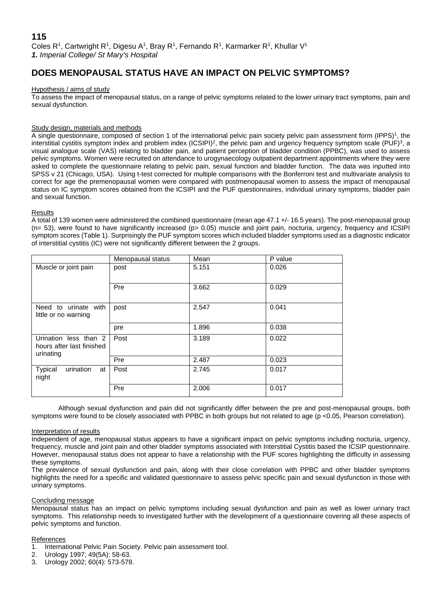# **DOES MENOPAUSAL STATUS HAVE AN IMPACT ON PELVIC SYMPTOMS?**

# Hypothesis / aims of study

To assess the impact of menopausal status, on a range of pelvic symptoms related to the lower urinary tract symptoms, pain and sexual dysfunction.

## Study design, materials and methods

A single questionnaire, composed of section 1 of the international pelvic pain society pelvic pain assessment form (IPPS)<sup>1</sup>, the interstitial cystitis symptom index and problem index (ICSIPI)<sup>2</sup>, the pelvic pain and urgency frequency symptom scale (PUF)<sup>3</sup>, a visual analogue scale (VAS) relating to bladder pain, and patient perception of bladder condition (PPBC), was used to assess pelvic symptoms. Women were recruited on attendance to urogynaecology outpatient department appointments where they were asked to complete the questionnaire relating to pelvic pain, sexual function and bladder function. The data was inputted into SPSS v 21 (Chicago, USA). Using t-test corrected for multiple comparisons with the Bonferroni test and multivariate analysis to correct for age the premenopausal women were compared with postmenopausal women to assess the impact of menopausal status on IC symptom scores obtained from the ICSIPI and the PUF questionnaires, individual urinary symptoms, bladder pain and sexual function.

## Results

A total of 139 women were administered the combined questionnaire (mean age 47.1 +/- 16.5 years). The post-menopausal group (n= 53), were found to have significantly increased (p> 0.05) muscle and joint pain, nocturia, urgency, frequency and ICSIPI symptom scores (Table 1). Surprisingly the PUF symptom scores which included bladder symptoms used as a diagnostic indicator of interstitial cystitis (IC) were not significantly different between the 2 groups.

|                                                                 | Menopausal status | Mean  | P value |
|-----------------------------------------------------------------|-------------------|-------|---------|
| Muscle or joint pain                                            | post              | 5.151 | 0.026   |
|                                                                 | Pre               | 3.662 | 0.029   |
| Need to urinate with<br>little or no warning                    | post              | 2.547 | 0.041   |
|                                                                 | pre               | 1.896 | 0.038   |
| Urination less than 2<br>hours after last finished<br>urinating | Post              | 3.189 | 0.022   |
|                                                                 | Pre               | 2.487 | 0.023   |
| Typical<br>urination<br>at<br>night                             | Post              | 2.745 | 0.017   |
|                                                                 | Pre               | 2.006 | 0.017   |

Although sexual dysfunction and pain did not significantly differ between the pre and post-menopausal groups, both symptoms were found to be closely associated with PPBC in both groups but not related to age (p <0.05, Pearson correlation).

## Interpretation of results

Independent of age, menopausal status appears to have a significant impact on pelvic symptoms including nocturia, urgency, frequency, muscle and joint pain and other bladder symptoms associated with Interstitial Cystitis based the ICSIP questionnaire. However, menopausal status does not appear to have a relationship with the PUF scores highlighting the difficulty in assessing these symptoms.

The prevalence of sexual dysfunction and pain, along with their close correlation with PPBC and other bladder symptoms highlights the need for a specific and validated questionnaire to assess pelvic specific pain and sexual dysfunction in those with urinary symptoms.

## Concluding message

Menopausal status has an impact on pelvic symptoms including sexual dysfunction and pain as well as lower urinary tract symptoms. This relationship needs to investigated further with the development of a questionnaire covering all these aspects of pelvic symptoms and function.

## References

- 1. International Pelvic Pain Society. Pelvic pain assessment tool.
- 2. Urology 1997; 49(5A): 58-63.
- 3. Urology 2002; 60(4): 573-578.